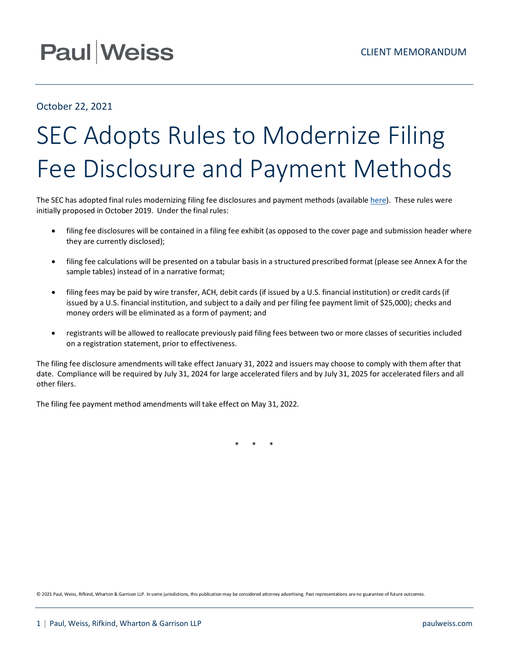## **Paul Weiss**

### October 22, 2021

# SEC Adopts Rules to Modernize Filing Fee Disclosure and Payment Methods

The SEC has adopted final rules modernizing filing fee disclosures and payment methods (available [here\)](https://www.sec.gov/rules/final/2021/33-10997.pdf). These rules were initially proposed in October 2019. Under the final rules:

- filing fee disclosures will be contained in a filing fee exhibit (as opposed to the cover page and submission header where they are currently disclosed);
- filing fee calculations will be presented on a tabular basis in a structured prescribed format (please see Annex A for the sample tables) instead of in a narrative format;
- filing fees may be paid by wire transfer, ACH, debit cards (if issued by a U.S. financial institution) or credit cards(if issued by a U.S. financial institution, and subject to a daily and per filing fee payment limit of \$25,000); checks and money orders will be eliminated as a form of payment; and
- registrants will be allowed to reallocate previously paid filing fees between two or more classes of securities included on a registration statement, prior to effectiveness.

The filing fee disclosure amendments will take effect January 31, 2022 and issuers may choose to comply with them after that date. Compliance will be required by July 31, 2024 for large accelerated filers and by July 31, 2025 for accelerated filers and all other filers.

The filing fee payment method amendments will take effect on May 31, 2022.

\* \* \*

© 2021 Paul, Weiss, Rifkind, Wharton & Garrison LLP. In some jurisdictions, this publication may be considered attorney advertising. Past representations are no guarantee of future outcomes.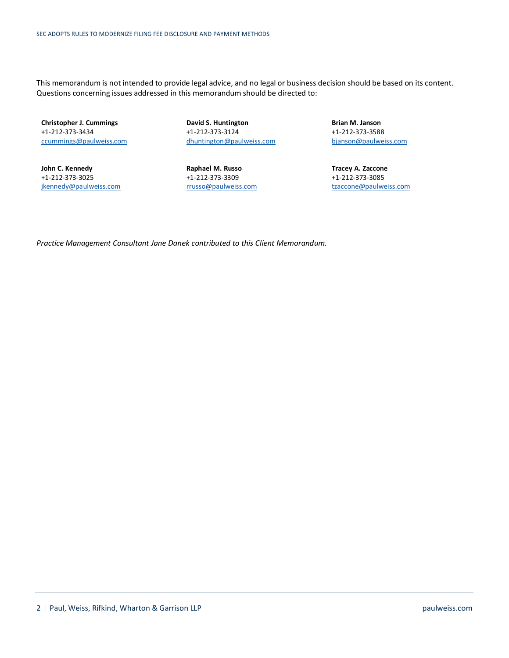This memorandum is not intended to provide legal advice, and no legal or business decision should be based on its content. Questions concerning issues addressed in this memorandum should be directed to:

**Christopher J. Cummings** +1-212-373-3434 [ccummings@paulweiss.com](mailto:ccummings@paulweiss.com)

**John C. Kennedy** +1-212-373-3025 [jkennedy@paulweiss.com](mailto:jkennedy@paulweiss.com) **David S. Huntington** +1-212-373-3124 [dhuntington@paulweiss.com](mailto:dhuntington@paulweiss.com)

**Raphael M. Russo** +1-212-373-3309 [rrusso@paulweiss.com](mailto:rrusso@paulweiss.com) **Brian M. Janson** +1-212-373-3588 [bjanson@paulweiss.com](mailto:bjanson@paulweiss.com)

**Tracey A. Zaccone** +1-212-373-3085 [tzaccone@paulweiss.com](mailto:tzaccone@paulweiss.com)

*Practice Management Consultant Jane Danek contributed to this Client Memorandum.*